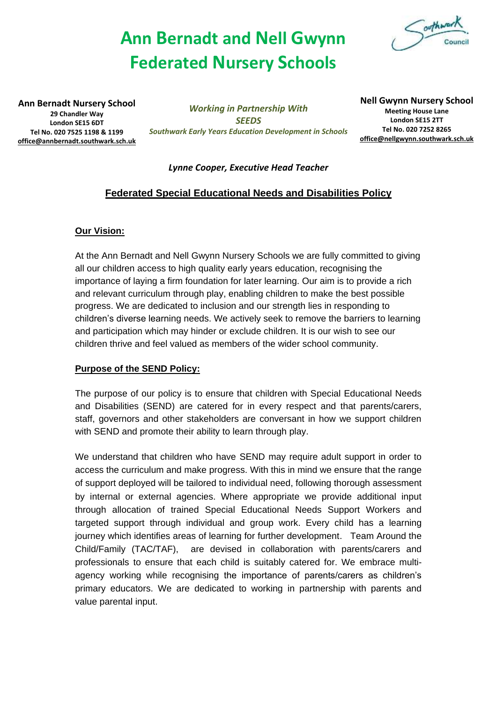# **Ann Bernadt and Nell Gwynn Federated Nursery Schools**



**Ann Bernadt Nursery School 29 Chandler Way London SE15 6DT Tel No. 020 7525 1198 & 1199 [office@annbernadt.southwark.sch.uk](mailto:office@annbernadt.southwark.sch.uk)**

*Working in Partnership With SEEDS Southwark Early Years Education Development in Schools* **Nell Gwynn Nursery School Meeting House Lane London SE15 2TT Tel No. 020 7252 8265 [office@nellgwynn.southwark.sch.uk](mailto:office@nellgwynn.southwark.sch.uk)**

#### *Lynne Cooper, Executive Head Teacher*

# **Federated Special Educational Needs and Disabilities Policy**

#### **Our Vision:**

At the Ann Bernadt and Nell Gwynn Nursery Schools we are fully committed to giving all our children access to high quality early years education, recognising the importance of laying a firm foundation for later learning. Our aim is to provide a rich and relevant curriculum through play, enabling children to make the best possible progress. We are dedicated to inclusion and our strength lies in responding to children's diverse learning needs. We actively seek to remove the barriers to learning and participation which may hinder or exclude children. It is our wish to see our children thrive and feel valued as members of the wider school community.

#### **Purpose of the SEND Policy:**

The purpose of our policy is to ensure that children with Special Educational Needs and Disabilities (SEND) are catered for in every respect and that parents/carers, staff, governors and other stakeholders are conversant in how we support children with SEND and promote their ability to learn through play.

We understand that children who have SEND may require adult support in order to access the curriculum and make progress. With this in mind we ensure that the range of support deployed will be tailored to individual need, following thorough assessment by internal or external agencies. Where appropriate we provide additional input through allocation of trained Special Educational Needs Support Workers and targeted support through individual and group work. Every child has a learning journey which identifies areas of learning for further development. Team Around the Child/Family (TAC/TAF), are devised in collaboration with parents/carers and professionals to ensure that each child is suitably catered for. We embrace multiagency working while recognising the importance of parents/carers as children's primary educators. We are dedicated to working in partnership with parents and value parental input.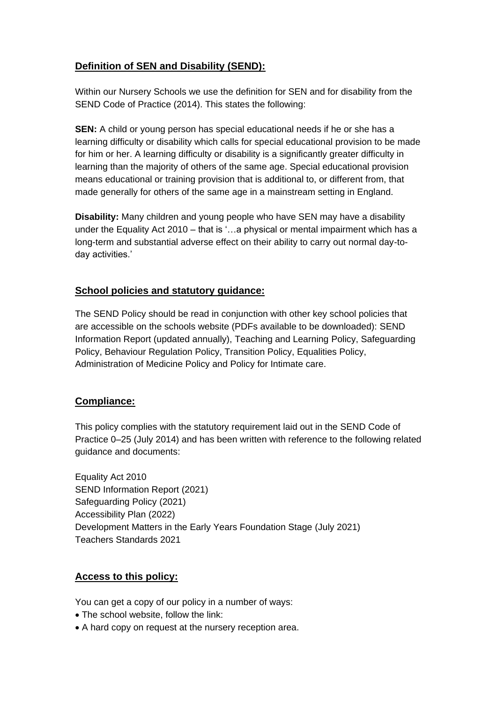# **Definition of SEN and Disability (SEND):**

Within our Nursery Schools we use the definition for SEN and for disability from the SEND Code of Practice (2014). This states the following:

**SEN:** A child or young person has special educational needs if he or she has a learning difficulty or disability which calls for special educational provision to be made for him or her. A learning difficulty or disability is a significantly greater difficulty in learning than the majority of others of the same age. Special educational provision means educational or training provision that is additional to, or different from, that made generally for others of the same age in a mainstream setting in England.

**Disability:** Many children and young people who have SEN may have a disability under the Equality Act 2010 – that is '…a physical or mental impairment which has a long-term and substantial adverse effect on their ability to carry out normal day-today activities.'

## **School policies and statutory guidance:**

The SEND Policy should be read in conjunction with other key school policies that are accessible on the schools website (PDFs available to be downloaded): SEND Information Report (updated annually), Teaching and Learning Policy, Safeguarding Policy, Behaviour Regulation Policy, Transition Policy, Equalities Policy, Administration of Medicine Policy and Policy for Intimate care.

## **Compliance:**

This policy complies with the statutory requirement laid out in the SEND Code of Practice 0–25 (July 2014) and has been written with reference to the following related guidance and documents:

Equality Act 2010 SEND Information Report (2021) Safeguarding Policy (2021) Accessibility Plan (2022) Development Matters in the Early Years Foundation Stage (July 2021) Teachers Standards 2021

#### **Access to this policy:**

You can get a copy of our policy in a number of ways:

- The school website, follow the link:
- A hard copy on request at the nursery reception area.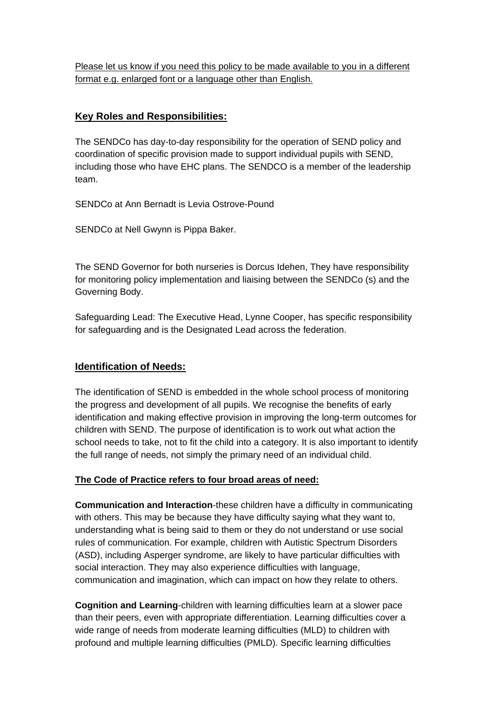Please let us know if you need this policy to be made available to you in a different format e.g. enlarged font or a language other than English.

## **Key Roles and Responsibilities:**

The SENDCo has day-to-day responsibility for the operation of SEND policy and coordination of specific provision made to support individual pupils with SEND, including those who have EHC plans. The SENDCO is a member of the leadership team.

SENDCo at Ann Bernadt is Levia Ostrove-Pound

SENDCo at Nell Gwynn is Pippa Baker.

The SEND Governor for both nurseries is Dorcus Idehen, They have responsibility for monitoring policy implementation and liaising between the SENDCo (s) and the Governing Body.

Safeguarding Lead: The Executive Head, Lynne Cooper, has specific responsibility for safeguarding and is the Designated Lead across the federation.

#### **Identification of Needs:**

The identification of SEND is embedded in the whole school process of monitoring the progress and development of all pupils. We recognise the benefits of early identification and making effective provision in improving the long-term outcomes for children with SEND. The purpose of identification is to work out what action the school needs to take, not to fit the child into a category. It is also important to identify the full range of needs, not simply the primary need of an individual child.

#### **The Code of Practice refers to four broad areas of need:**

**Communication and Interaction**-these children have a difficulty in communicating with others. This may be because they have difficulty saying what they want to, understanding what is being said to them or they do not understand or use social rules of communication. For example, children with Autistic Spectrum Disorders (ASD), including Asperger syndrome, are likely to have particular difficulties with social interaction. They may also experience difficulties with language, communication and imagination, which can impact on how they relate to others.

**Cognition and Learning**-children with learning difficulties learn at a slower pace than their peers, even with appropriate differentiation. Learning difficulties cover a wide range of needs from moderate learning difficulties (MLD) to children with profound and multiple learning difficulties (PMLD). Specific learning difficulties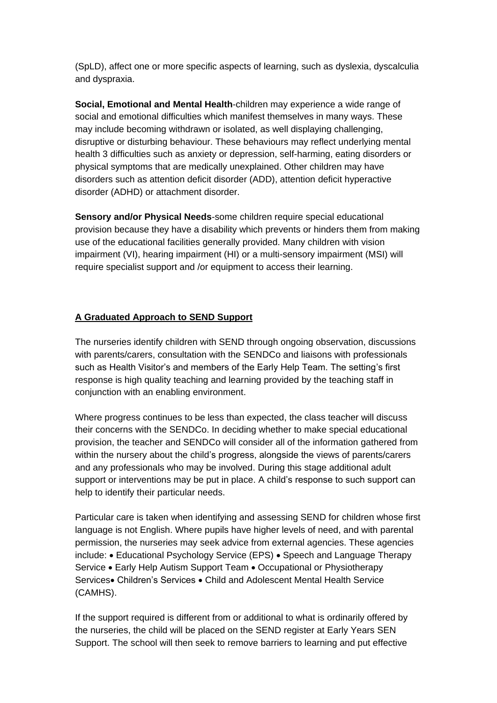(SpLD), affect one or more specific aspects of learning, such as dyslexia, dyscalculia and dyspraxia.

**Social, Emotional and Mental Health**-children may experience a wide range of social and emotional difficulties which manifest themselves in many ways. These may include becoming withdrawn or isolated, as well displaying challenging, disruptive or disturbing behaviour. These behaviours may reflect underlying mental health 3 difficulties such as anxiety or depression, self-harming, eating disorders or physical symptoms that are medically unexplained. Other children may have disorders such as attention deficit disorder (ADD), attention deficit hyperactive disorder (ADHD) or attachment disorder.

**Sensory and/or Physical Needs**-some children require special educational provision because they have a disability which prevents or hinders them from making use of the educational facilities generally provided. Many children with vision impairment (VI), hearing impairment (HI) or a multi-sensory impairment (MSI) will require specialist support and /or equipment to access their learning.

#### **A Graduated Approach to SEND Support**

The nurseries identify children with SEND through ongoing observation, discussions with parents/carers, consultation with the SENDCo and liaisons with professionals such as Health Visitor's and members of the Early Help Team. The setting's first response is high quality teaching and learning provided by the teaching staff in conjunction with an enabling environment.

Where progress continues to be less than expected, the class teacher will discuss their concerns with the SENDCo. In deciding whether to make special educational provision, the teacher and SENDCo will consider all of the information gathered from within the nursery about the child's progress, alongside the views of parents/carers and any professionals who may be involved. During this stage additional adult support or interventions may be put in place. A child's response to such support can help to identify their particular needs.

Particular care is taken when identifying and assessing SEND for children whose first language is not English. Where pupils have higher levels of need, and with parental permission, the nurseries may seek advice from external agencies. These agencies include: • Educational Psychology Service (EPS) • Speech and Language Therapy Service • Early Help Autism Support Team • Occupational or Physiotherapy Services• Children's Services • Child and Adolescent Mental Health Service (CAMHS).

If the support required is different from or additional to what is ordinarily offered by the nurseries, the child will be placed on the SEND register at Early Years SEN Support. The school will then seek to remove barriers to learning and put effective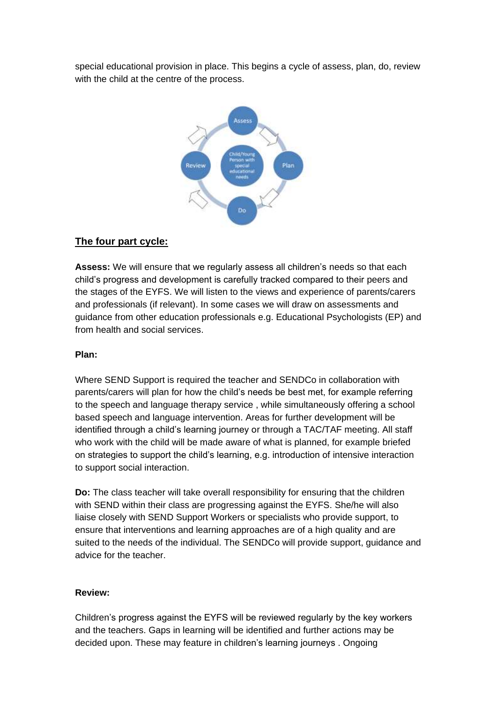special educational provision in place. This begins a cycle of assess, plan, do, review with the child at the centre of the process.



#### **The four part cycle:**

**Assess:** We will ensure that we regularly assess all children's needs so that each child's progress and development is carefully tracked compared to their peers and the stages of the EYFS. We will listen to the views and experience of parents/carers and professionals (if relevant). In some cases we will draw on assessments and guidance from other education professionals e.g. Educational Psychologists (EP) and from health and social services.

#### **Plan:**

Where SEND Support is required the teacher and SENDCo in collaboration with parents/carers will plan for how the child's needs be best met, for example referring to the speech and language therapy service , while simultaneously offering a school based speech and language intervention. Areas for further development will be identified through a child's learning journey or through a TAC/TAF meeting. All staff who work with the child will be made aware of what is planned, for example briefed on strategies to support the child's learning, e.g. introduction of intensive interaction to support social interaction.

**Do:** The class teacher will take overall responsibility for ensuring that the children with SEND within their class are progressing against the EYFS. She/he will also liaise closely with SEND Support Workers or specialists who provide support, to ensure that interventions and learning approaches are of a high quality and are suited to the needs of the individual. The SENDCo will provide support, guidance and advice for the teacher.

#### **Review:**

Children's progress against the EYFS will be reviewed regularly by the key workers and the teachers. Gaps in learning will be identified and further actions may be decided upon. These may feature in children's learning journeys . Ongoing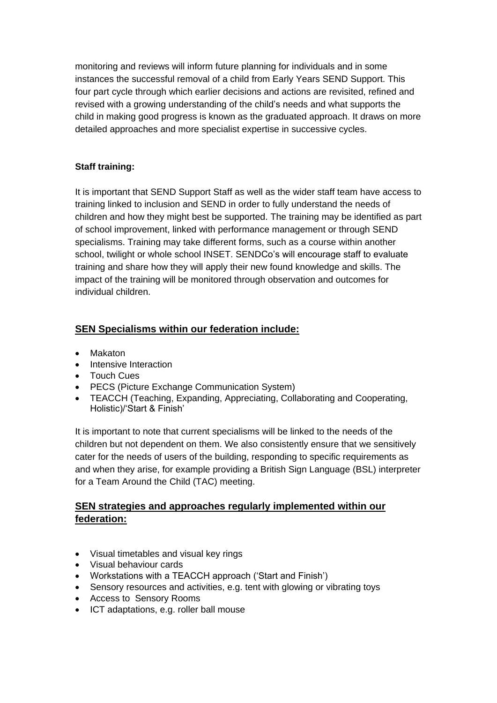monitoring and reviews will inform future planning for individuals and in some instances the successful removal of a child from Early Years SEND Support. This four part cycle through which earlier decisions and actions are revisited, refined and revised with a growing understanding of the child's needs and what supports the child in making good progress is known as the graduated approach. It draws on more detailed approaches and more specialist expertise in successive cycles.

## **Staff training:**

It is important that SEND Support Staff as well as the wider staff team have access to training linked to inclusion and SEND in order to fully understand the needs of children and how they might best be supported. The training may be identified as part of school improvement, linked with performance management or through SEND specialisms. Training may take different forms, such as a course within another school, twilight or whole school INSET. SENDCo's will encourage staff to evaluate training and share how they will apply their new found knowledge and skills. The impact of the training will be monitored through observation and outcomes for individual children.

# **SEN Specialisms within our federation include:**

- Makaton
- Intensive Interaction
- Touch Cues
- PECS (Picture Exchange Communication System)
- TEACCH (Teaching, Expanding, Appreciating, Collaborating and Cooperating, Holistic)/'Start & Finish'

It is important to note that current specialisms will be linked to the needs of the children but not dependent on them. We also consistently ensure that we sensitively cater for the needs of users of the building, responding to specific requirements as and when they arise, for example providing a British Sign Language (BSL) interpreter for a Team Around the Child (TAC) meeting.

## **SEN strategies and approaches regularly implemented within our federation:**

- Visual timetables and visual key rings
- Visual behaviour cards
- Workstations with a TEACCH approach ('Start and Finish')
- Sensory resources and activities, e.g. tent with glowing or vibrating toys
- Access to Sensory Rooms
- ICT adaptations, e.g. roller ball mouse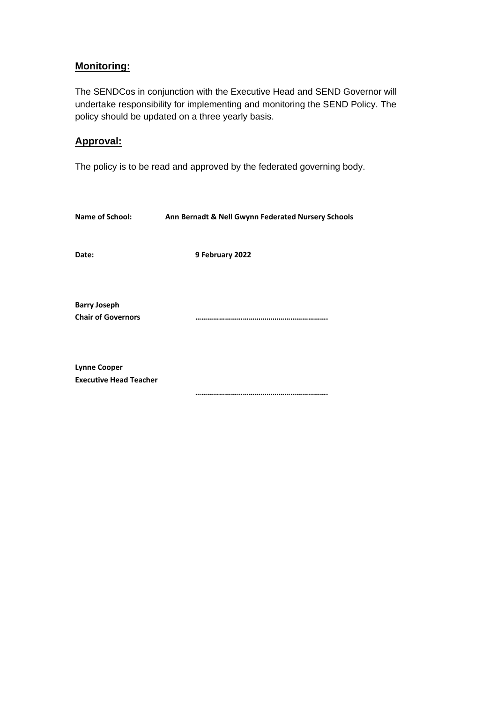## **Monitoring:**

The SENDCos in conjunction with the Executive Head and SEND Governor will undertake responsibility for implementing and monitoring the SEND Policy. The policy should be updated on a three yearly basis.

### **Approval:**

The policy is to be read and approved by the federated governing body.

| <b>Name of School:</b>                               | Ann Bernadt & Nell Gwynn Federated Nursery Schools |
|------------------------------------------------------|----------------------------------------------------|
| Date:                                                | 9 February 2022                                    |
| <b>Barry Joseph</b><br><b>Chair of Governors</b>     |                                                    |
| <b>Lynne Cooper</b><br><b>Executive Head Teacher</b> |                                                    |